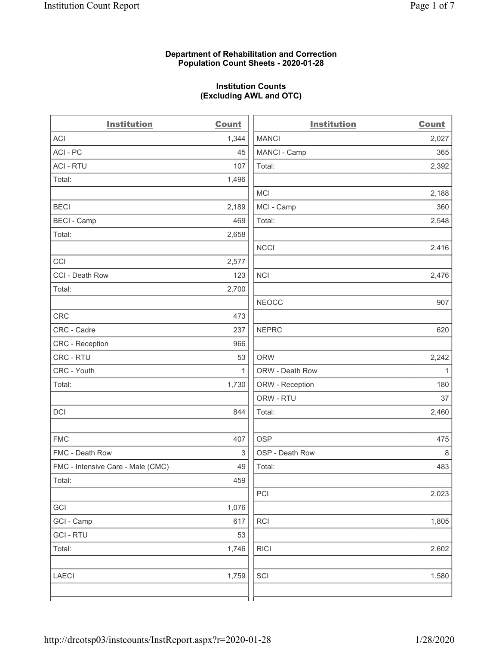# **Department of Rehabilitation and Correction Population Count Sheets - 2020-01-28**

# **Institution Counts (Excluding AWL and OTC)**

 $\overline{a}$ 

| <b>Institution</b>                | <b>Count</b> | <b>Institution</b> | Count        |
|-----------------------------------|--------------|--------------------|--------------|
| ACI                               | 1,344        | <b>MANCI</b>       | 2,027        |
| ACI - PC                          | 45           | MANCI - Camp       | 365          |
| <b>ACI - RTU</b>                  | 107          | Total:             | 2,392        |
| Total:                            | 1,496        |                    |              |
|                                   |              | MCI                | 2,188        |
| <b>BECI</b>                       | 2,189        | MCI - Camp         | 360          |
| <b>BECI - Camp</b>                | 469          | Total:             | 2,548        |
| Total:                            | 2,658        |                    |              |
|                                   |              | <b>NCCI</b>        | 2,416        |
| CCI                               | 2,577        |                    |              |
| CCI - Death Row                   | 123          | <b>NCI</b>         | 2,476        |
| Total:                            | 2,700        |                    |              |
|                                   |              | <b>NEOCC</b>       | 907          |
| <b>CRC</b>                        | 473          |                    |              |
| CRC - Cadre                       | 237          | <b>NEPRC</b>       | 620          |
| CRC - Reception                   | 966          |                    |              |
| CRC - RTU                         | 53           | <b>ORW</b>         | 2,242        |
| CRC - Youth                       | $\mathbf{1}$ | ORW - Death Row    | $\mathbf{1}$ |
| Total:                            | 1,730        | ORW - Reception    | 180          |
|                                   |              | ORW - RTU          | 37           |
| DCI                               | 844          | Total:             | 2,460        |
| <b>FMC</b>                        | 407          | <b>OSP</b>         | 475          |
| FMC - Death Row                   | 3            | OSP - Death Row    | 8            |
| FMC - Intensive Care - Male (CMC) | 49           | Total:             | 483          |
| Total:                            | 459          |                    |              |
|                                   |              | PCI                | 2,023        |
| GCI                               | 1,076        |                    |              |
| GCI - Camp                        | 617          | <b>RCI</b>         | 1,805        |
| <b>GCI-RTU</b>                    | 53           |                    |              |
| Total:                            | 1,746        | <b>RICI</b>        | 2,602        |
| LAECI                             | 1,759        | SCI                | 1,580        |
|                                   |              |                    |              |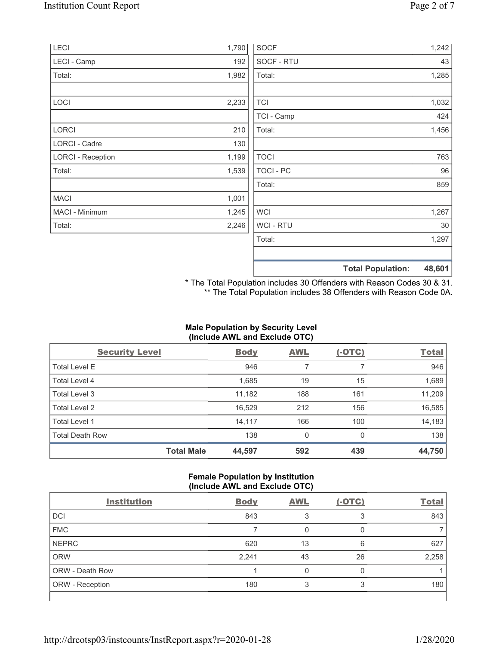| LECI                     | 1,790 | <b>SOCF</b>    | 1,242                              |
|--------------------------|-------|----------------|------------------------------------|
| LECI - Camp              | 192   | SOCF - RTU     | 43                                 |
| Total:                   | 1,982 | Total:         | 1,285                              |
|                          |       |                |                                    |
| LOCI                     | 2,233 | <b>TCI</b>     | 1,032                              |
|                          |       | TCI - Camp     | 424                                |
| <b>LORCI</b>             | 210   | Total:         | 1,456                              |
| <b>LORCI - Cadre</b>     | 130   |                |                                    |
| <b>LORCI - Reception</b> | 1,199 | <b>TOCI</b>    | 763                                |
| Total:                   | 1,539 | TOCI - PC      | 96                                 |
|                          |       | Total:         | 859                                |
| <b>MACI</b>              | 1,001 |                |                                    |
| MACI - Minimum           | 1,245 | <b>WCI</b>     | 1,267                              |
| Total:                   | 2,246 | <b>WCI-RTU</b> | 30                                 |
|                          |       | Total:         | 1,297                              |
|                          |       |                |                                    |
|                          |       |                | 48,601<br><b>Total Population:</b> |

\* The Total Population includes 30 Offenders with Reason Codes 30 & 31. \*\* The Total Population includes 38 Offenders with Reason Code 0A.

# **Male Population by Security Level (Include AWL and Exclude OTC)**

| <b>Security Level</b>  |                   | <b>Body</b> | <b>AWL</b> | $(-OTC)$ | <b>Total</b> |
|------------------------|-------------------|-------------|------------|----------|--------------|
| <b>Total Level E</b>   |                   | 946         | 7          |          | 946          |
| Total Level 4          |                   | 1,685       | 19         | 15       | 1,689        |
| Total Level 3          |                   | 11,182      | 188        | 161      | 11,209       |
| Total Level 2          |                   | 16,529      | 212        | 156      | 16,585       |
| Total Level 1          |                   | 14,117      | 166        | 100      | 14,183       |
| <b>Total Death Row</b> |                   | 138         | 0          | 0        | 138          |
|                        | <b>Total Male</b> | 44,597      | 592        | 439      | 44,750       |

# **Female Population by Institution (Include AWL and Exclude OTC)**

| <b>Institution</b>     | <b>Body</b> | <b>AWL</b> | $(-OTC)$ | <b>Total</b> |
|------------------------|-------------|------------|----------|--------------|
| <b>DCI</b>             | 843         |            | 3        | 843          |
| <b>FMC</b>             |             |            |          |              |
| <b>NEPRC</b>           | 620         | 13         | 6        | 627          |
| <b>ORW</b>             | 2,241       | 43         | 26       | 2,258        |
| <b>ORW - Death Row</b> |             |            |          |              |
| ORW - Reception        | 180         |            | 3        | 180          |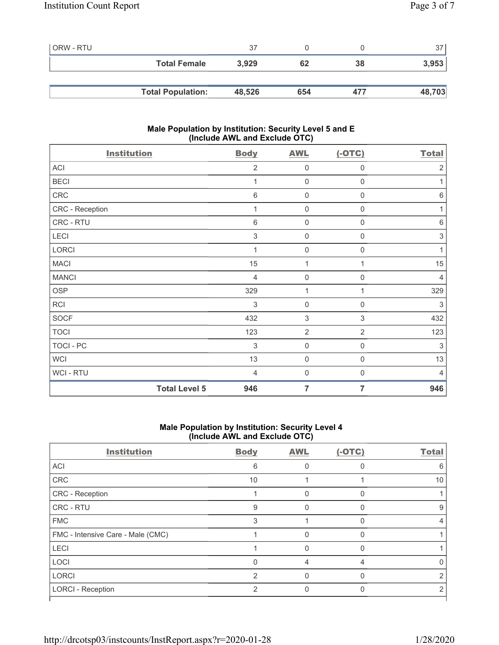| ORW - RTU |                          | 37     |     |     | 37     |
|-----------|--------------------------|--------|-----|-----|--------|
|           | <b>Total Female</b>      | 3.929  | 62  | 38  | 3,953  |
|           |                          |        |     |     |        |
|           | <b>Total Population:</b> | 48,526 | 654 | 477 | 48,703 |

# **Male Population by Institution: Security Level 5 and E (Include AWL and Exclude OTC)**

| <b>Institution</b>   | <b>Body</b>     | <b>AWL</b>          | $(-OTC)$         | <b>Total</b>              |
|----------------------|-----------------|---------------------|------------------|---------------------------|
| ACI                  | $\overline{2}$  | $\mathbf{0}$        | $\mathbf 0$      | $\overline{2}$            |
| <b>BECI</b>          | 1               | $\mathbf 0$         | $\boldsymbol{0}$ | 1                         |
| ${\sf CRC}$          | $6\phantom{1}6$ | $\mathbf 0$         | 0                | $6\,$                     |
| CRC - Reception      | 1               | $\mathsf{O}\xspace$ | 0                | 1                         |
| CRC - RTU            | $\,6$           | $\mathbf 0$         | 0                | $\,6\,$                   |
| LECI                 | 3               | $\mathbf 0$         | 0                | $\ensuremath{\mathsf{3}}$ |
| <b>LORCI</b>         |                 | $\mathbf 0$         | 0                | 1                         |
| <b>MACI</b>          | 15              | 1                   | 1                | 15                        |
| <b>MANCI</b>         | $\overline{4}$  | $\mathsf{O}\xspace$ | 0                | $\overline{4}$            |
| <b>OSP</b>           | 329             | 1                   | 1                | 329                       |
| <b>RCI</b>           | $\mathfrak{S}$  | $\mathbf 0$         | $\mathbf 0$      | 3                         |
| <b>SOCF</b>          | 432             | $\sqrt{3}$          | $\mathfrak{S}$   | 432                       |
| <b>TOCI</b>          | 123             | $\overline{2}$      | $\overline{2}$   | 123                       |
| TOCI - PC            | $\sqrt{3}$      | $\mathsf{O}\xspace$ | $\boldsymbol{0}$ | 3                         |
| <b>WCI</b>           | 13              | $\mathbf 0$         | $\mathbf 0$      | 13                        |
| WCI - RTU            | $\overline{4}$  | $\mathsf{O}\xspace$ | $\mathbf 0$      | $\overline{4}$            |
| <b>Total Level 5</b> | 946             | $\overline{7}$      | 7                | 946                       |

# **Male Population by Institution: Security Level 4 (Include AWL and Exclude OTC)**

| <b>Institution</b>                | <b>Body</b>    | <b>AWL</b> | $(-OTC)$ | <b>Total</b> |
|-----------------------------------|----------------|------------|----------|--------------|
| <b>ACI</b>                        | 6              |            |          | 6            |
| CRC                               | 10             |            |          | 10           |
| <b>CRC</b> - Reception            |                | 0          | 0        |              |
| <b>CRC - RTU</b>                  | 9              | O          |          | 9            |
| <b>FMC</b>                        | 3              |            |          |              |
| FMC - Intensive Care - Male (CMC) |                |            |          |              |
| <b>LECI</b>                       |                | U          |          |              |
| LOCI                              | $\Omega$       | 4          | 4        |              |
| <b>LORCI</b>                      | 2              |            |          |              |
| <b>LORCI - Reception</b>          | $\mathfrak{p}$ |            |          | 2            |
|                                   |                |            |          |              |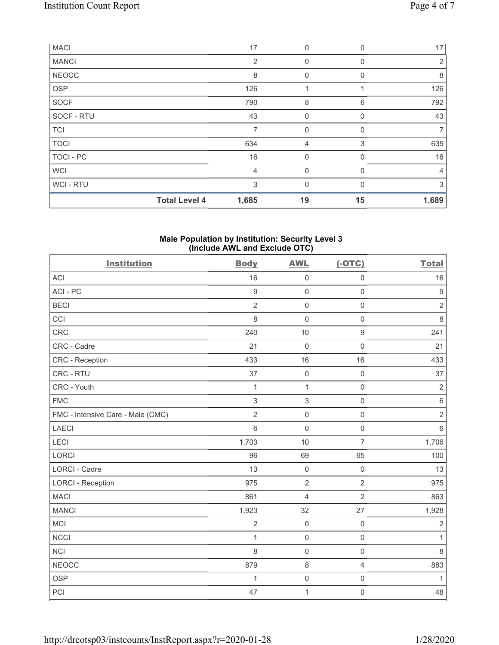| <b>MACI</b>  |                      | 17    | $\mathbf 0$    | $\Omega$ | 17             |
|--------------|----------------------|-------|----------------|----------|----------------|
| <b>MANCI</b> |                      | 2     | $\mathbf 0$    | 0        | $\overline{2}$ |
| <b>NEOCC</b> |                      | 8     | 0              | $\Omega$ | 8              |
| <b>OSP</b>   |                      | 126   |                |          | 126            |
| SOCF         |                      | 790   | 8              | 6        | 792            |
| SOCF - RTU   |                      | 43    | $\mathbf 0$    | 0        | 43             |
| <b>TCI</b>   |                      |       | $\mathbf 0$    | 0        | 7              |
| <b>TOCI</b>  |                      | 634   | $\overline{4}$ | 3        | 635            |
| TOCI - PC    |                      | 16    | $\mathbf{0}$   | 0        | 16             |
| <b>WCI</b>   |                      | 4     | $\mathbf 0$    | 0        | $\overline{4}$ |
| WCI - RTU    |                      | 3     | $\mathbf{0}$   | $\Omega$ | 3              |
|              | <b>Total Level 4</b> | 1,685 | 19             | 15       | 1,689          |

#### **Male Population by Institution: Security Level 3 (Include AWL and Exclude OTC)**

| <b>Institution</b>                | <b>Body</b>      | <b>AWL</b>          | $(-OTC)$            | <b>Total</b>     |
|-----------------------------------|------------------|---------------------|---------------------|------------------|
| <b>ACI</b>                        | 16               | $\mathsf 0$         | $\mathsf 0$         | 16               |
| ACI-PC                            | $\boldsymbol{9}$ | $\mathsf 0$         | $\mathbf 0$         | $\boldsymbol{9}$ |
| <b>BECI</b>                       | $\overline{2}$   | $\mathbf 0$         | $\mathsf 0$         | $\overline{2}$   |
| CCI                               | 8                | $\mathbf 0$         | $\mathsf 0$         | $\,8\,$          |
| CRC                               | 240              | 10                  | $\boldsymbol{9}$    | 241              |
| CRC - Cadre                       | 21               | $\mathbf 0$         | $\mathsf{O}\xspace$ | 21               |
| <b>CRC</b> - Reception            | 433              | 16                  | 16                  | 433              |
| CRC - RTU                         | 37               | $\mathsf 0$         | $\mathsf{O}\xspace$ | 37               |
| CRC - Youth                       | 1                | $\mathbf{1}$        | $\mathsf{O}\xspace$ | $\overline{2}$   |
| <b>FMC</b>                        | $\mathfrak{S}$   | $\,$ 3 $\,$         | $\mathsf{O}\xspace$ | $\,6$            |
| FMC - Intensive Care - Male (CMC) | $\overline{2}$   | $\mathsf 0$         | $\mathsf{O}\xspace$ | $\sqrt{2}$       |
| <b>LAECI</b>                      | $6\,$            | $\mathsf{O}\xspace$ | $\mathsf{O}\xspace$ | $6\,$            |
| LECI                              | 1,703            | 10                  | $\overline{7}$      | 1,706            |
| LORCI                             | 96               | 69                  | 65                  | 100              |
| <b>LORCI - Cadre</b>              | 13               | $\mathsf 0$         | $\mathsf{O}\xspace$ | 13               |
| <b>LORCI - Reception</b>          | 975              | $\overline{2}$      | $\overline{2}$      | 975              |
| <b>MACI</b>                       | 861              | $\overline{4}$      | $\overline{2}$      | 863              |
| <b>MANCI</b>                      | 1,923            | 32                  | 27                  | 1,928            |
| <b>MCI</b>                        | $\sqrt{2}$       | $\mathbf 0$         | $\mathbf 0$         | $\overline{2}$   |
| <b>NCCI</b>                       | $\mathbf{1}$     | $\mathsf 0$         | $\mathbf 0$         | $\mathbf{1}$     |
| <b>NCI</b>                        | 8                | $\mathbf 0$         | $\mathbf 0$         | 8                |
| <b>NEOCC</b>                      | 879              | $\,8\,$             | $\overline{4}$      | 883              |
| <b>OSP</b>                        | 1                | $\mathbf 0$         | $\mathsf{O}\xspace$ | 1                |
| PCI                               | 47               | $\mathbf 1$         | $\mathsf{O}\xspace$ | 48               |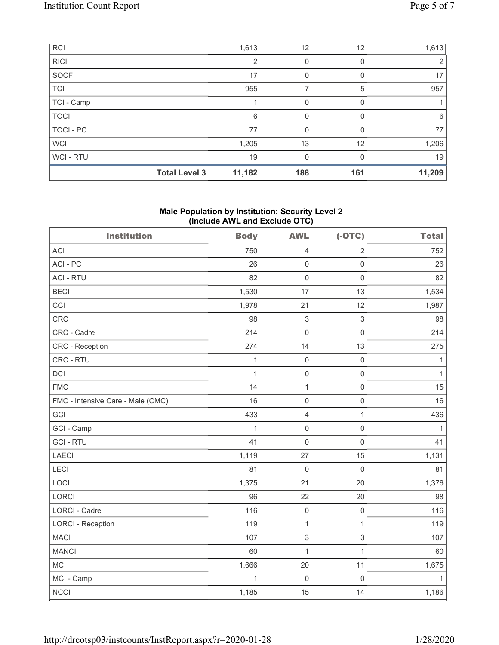| <b>RCI</b>  |                      | 1,613          | 12       | 12       | 1,613  |
|-------------|----------------------|----------------|----------|----------|--------|
| <b>RICI</b> |                      | $\overline{2}$ | 0        | 0        | 2      |
| SOCF        |                      | 17             |          |          | 17     |
| TCI         |                      | 955            |          | 5        | 957    |
| TCI - Camp  |                      |                | 0        | O        |        |
| <b>TOCI</b> |                      | 6              | 0        |          | 6      |
| TOCI-PC     |                      | 77             | 0        |          | 77     |
| <b>WCI</b>  |                      | 1,205          | 13       | 12       | 1,206  |
| WCI-RTU     |                      | 19             | $\Omega$ | $\Omega$ | 19     |
|             | <b>Total Level 3</b> | 11,182         | 188      | 161      | 11,209 |

## **Male Population by Institution: Security Level 2 (Include AWL and Exclude OTC)**

| <b>Institution</b>                | <b>Body</b>  | <b>AWL</b>          | $(-OTC)$            | <b>Total</b> |
|-----------------------------------|--------------|---------------------|---------------------|--------------|
| <b>ACI</b>                        | 750          | $\overline{4}$      | $\overline{2}$      | 752          |
| ACI-PC                            | 26           | $\mathbf 0$         | $\mathsf{O}\xspace$ | 26           |
| <b>ACI - RTU</b>                  | 82           | $\mathbf 0$         | $\mathsf{O}\xspace$ | 82           |
| <b>BECI</b>                       | 1,530        | 17                  | 13                  | 1,534        |
| CCI                               | 1,978        | 21                  | 12                  | 1,987        |
| <b>CRC</b>                        | 98           | $\mathbf{3}$        | $\sqrt{3}$          | 98           |
| CRC - Cadre                       | 214          | $\mathsf{O}$        | $\mathsf{O}\xspace$ | 214          |
| CRC - Reception                   | 274          | 14                  | 13                  | 275          |
| CRC - RTU                         | $\mathbf{1}$ | $\mathbf 0$         | $\mathsf{O}\xspace$ | $\mathbf{1}$ |
| DCI                               | $\mathbf{1}$ | $\mathsf{O}$        | $\mathsf{O}\xspace$ | $\mathbf{1}$ |
| <b>FMC</b>                        | 14           | $\mathbf{1}$        | $\mathsf{O}\xspace$ | 15           |
| FMC - Intensive Care - Male (CMC) | 16           | $\mathsf{O}\xspace$ | $\mathbf 0$         | 16           |
| GCI                               | 433          | $\overline{4}$      | $\mathbf{1}$        | 436          |
| GCI - Camp                        | $\mathbf{1}$ | $\mathbf 0$         | $\mathbf 0$         | $\mathbf{1}$ |
| <b>GCI-RTU</b>                    | 41           | $\mathbf 0$         | $\mathbf 0$         | 41           |
| LAECI                             | 1,119        | 27                  | 15                  | 1,131        |
| LECI                              | 81           | $\mathbf 0$         | $\mathbf 0$         | 81           |
| LOCI                              | 1,375        | 21                  | 20                  | 1,376        |
| <b>LORCI</b>                      | 96           | 22                  | 20                  | 98           |
| <b>LORCI - Cadre</b>              | 116          | $\mathbf 0$         | $\mathbf 0$         | 116          |
| <b>LORCI - Reception</b>          | 119          | $\mathbf{1}$        | $\mathbf{1}$        | 119          |
| <b>MACI</b>                       | 107          | $\,$ 3 $\,$         | $\sqrt{3}$          | 107          |
| <b>MANCI</b>                      | 60           | $\mathbf 1$         | $\mathbf{1}$        | 60           |
| MCI                               | 1,666        | 20                  | 11                  | 1,675        |
| MCI - Camp                        | $\mathbf{1}$ | $\mathbf 0$         | $\mathbf 0$         | $\mathbf{1}$ |
| <b>NCCI</b>                       | 1,185        | 15                  | 14                  | 1,186        |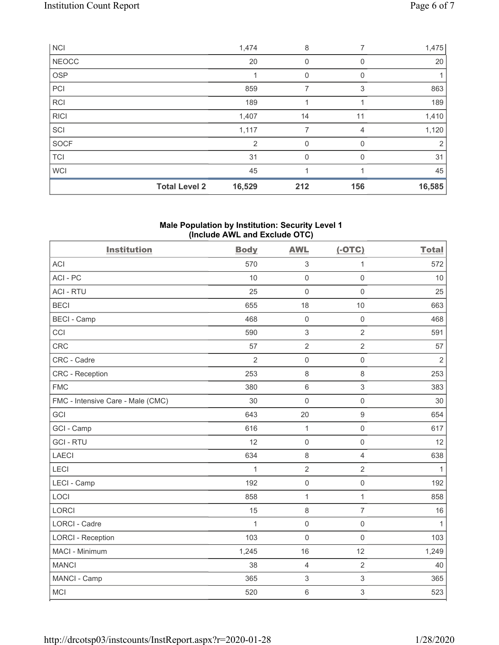| <b>NCI</b>   |                      | 1,474  | 8   | 7        | 1,475  |
|--------------|----------------------|--------|-----|----------|--------|
| <b>NEOCC</b> |                      | 20     | 0   | 0        | 20     |
| <b>OSP</b>   |                      |        | 0   | 0        |        |
| PCI          |                      | 859    |     | 3        | 863    |
| <b>RCI</b>   |                      | 189    |     |          | 189    |
| <b>RICI</b>  |                      | 1,407  | 14  | 11       | 1,410  |
| SCI          |                      | 1,117  | 7   | 4        | 1,120  |
| <b>SOCF</b>  |                      | 2      | 0   | 0        | 2      |
| <b>TCI</b>   |                      | 31     | 0   | $\Omega$ | 31     |
| <b>WCI</b>   |                      | 45     |     |          | 45     |
|              | <b>Total Level 2</b> | 16,529 | 212 | 156      | 16,585 |

# **Male Population by Institution: Security Level 1 (Include AWL and Exclude OTC)**

| <b>Institution</b>                | <b>Body</b>    | <b>AWL</b>                | $(-OTC)$                  | <b>Total</b>   |
|-----------------------------------|----------------|---------------------------|---------------------------|----------------|
| <b>ACI</b>                        | 570            | 3                         | 1                         | 572            |
| ACI-PC                            | 10             | $\mathbf 0$               | $\mathsf{O}\xspace$       | 10             |
| <b>ACI - RTU</b>                  | 25             | $\mathbf 0$               | $\mathbf 0$               | 25             |
| <b>BECI</b>                       | 655            | 18                        | 10                        | 663            |
| <b>BECI - Camp</b>                | 468            | $\mathbf 0$               | $\mathbf 0$               | 468            |
| CCI                               | 590            | $\ensuremath{\mathsf{3}}$ | $\overline{2}$            | 591            |
| <b>CRC</b>                        | 57             | $\overline{2}$            | $\overline{2}$            | 57             |
| CRC - Cadre                       | $\overline{2}$ | $\mathbf 0$               | $\mathsf 0$               | $\overline{2}$ |
| <b>CRC</b> - Reception            | 253            | $\,8\,$                   | $\,8\,$                   | 253            |
| <b>FMC</b>                        | 380            | $6\phantom{1}$            | $\mathfrak{Z}$            | 383            |
| FMC - Intensive Care - Male (CMC) | 30             | $\mathsf{O}\xspace$       | $\mathbf 0$               | 30             |
| GCI                               | 643            | 20                        | $\overline{9}$            | 654            |
| GCI - Camp                        | 616            | $\mathbf{1}$              | $\mathbf 0$               | 617            |
| <b>GCI-RTU</b>                    | 12             | $\mathbf 0$               | $\mathbf 0$               | 12             |
| <b>LAECI</b>                      | 634            | $\,8\,$                   | $\overline{4}$            | 638            |
| LECI                              | $\mathbf{1}$   | $\overline{2}$            | $\overline{2}$            | $\mathbf{1}$   |
| LECI - Camp                       | 192            | $\mathbf 0$               | $\mathbf 0$               | 192            |
| LOCI                              | 858            | $\mathbf 1$               | $\mathbf{1}$              | 858            |
| <b>LORCI</b>                      | 15             | $\,8\,$                   | $\overline{7}$            | 16             |
| <b>LORCI - Cadre</b>              | $\mathbf{1}$   | $\mathsf{O}\xspace$       | $\mathsf 0$               | 1              |
| <b>LORCI - Reception</b>          | 103            | $\mathbf 0$               | $\mathbf 0$               | 103            |
| MACI - Minimum                    | 1,245          | 16                        | 12                        | 1,249          |
| <b>MANCI</b>                      | 38             | $\overline{4}$            | $\overline{2}$            | 40             |
| MANCI - Camp                      | 365            | $\ensuremath{\mathsf{3}}$ | $\ensuremath{\mathsf{3}}$ | 365            |
| <b>MCI</b>                        | 520            | $\,6\,$                   | 3                         | 523            |